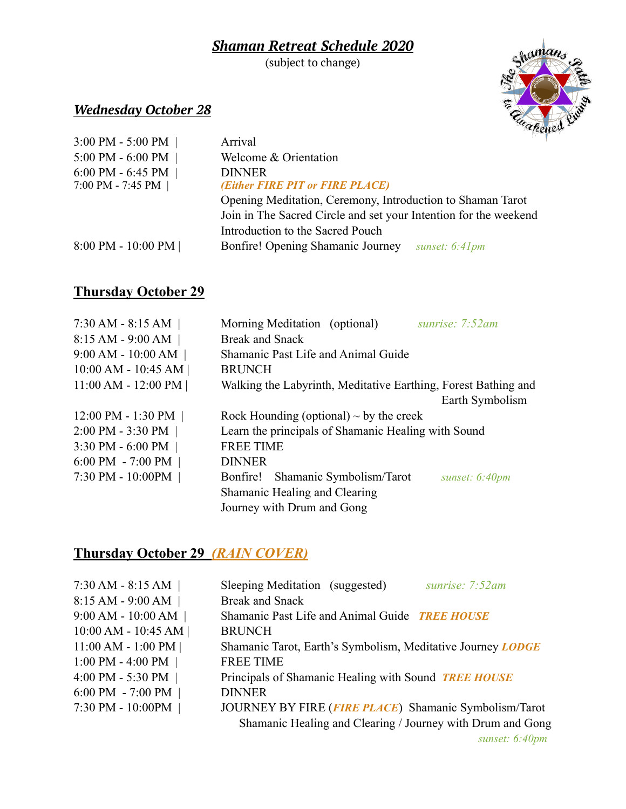#### *Shaman Retreat Schedule 2020*

(subject to change)



### *Wednesday October 28*

| $3:00$ PM - 5:00 PM   | Arrival                                                          |
|-----------------------|------------------------------------------------------------------|
| 5:00 PM - 6:00 PM     | Welcome & Orientation                                            |
| 6:00 PM - 6:45 PM $ $ | <b>DINNER</b>                                                    |
| 7:00 PM - 7:45 PM $ $ | (Either FIRE PIT or FIRE PLACE)                                  |
|                       | Opening Meditation, Ceremony, Introduction to Shaman Tarot       |
|                       | Join in The Sacred Circle and set your Intention for the weekend |
|                       | Introduction to the Sacred Pouch                                 |
| $8:00$ PM - 10:00 PM  | Bonfire! Opening Shamanic Journey<br>sunset: 6:41pm              |

#### **Thursday October 29**

| $7:30$ AM - 8:15 AM     | sunrise: 7:52am<br>Morning Meditation (optional)               |
|-------------------------|----------------------------------------------------------------|
| 8:15 AM - 9:00 AM       | <b>Break and Snack</b>                                         |
| $9:00$ AM - $10:00$ AM  | Shamanic Past Life and Animal Guide                            |
| $10:00$ AM - $10:45$ AM | <b>BRUNCH</b>                                                  |
| $11:00$ AM - $12:00$ PM | Walking the Labyrinth, Meditative Earthing, Forest Bathing and |
|                         | Earth Symbolism                                                |
| $12:00$ PM - 1:30 PM    | Rock Hounding (optional) $\sim$ by the creek                   |
| 2:00 PM - 3:30 PM       | Learn the principals of Shamanic Healing with Sound            |
| 3:30 PM - 6:00 PM       | <b>FREE TIME</b>                                               |
| 6:00 PM - 7:00 PM $ $   | <b>DINNER</b>                                                  |
| 7:30 PM - 10:00PM       | Shamanic Symbolism/Tarot<br>Bonfire!<br>sunset: 6:40pm         |
|                         | Shamanic Healing and Clearing                                  |
|                         | Journey with Drum and Gong                                     |

## **Thursday October 29** *(RAIN COVER)*

| $7:30$ AM - 8:15 AM                 | Sleeping Meditation (suggested)<br>sunrise: 7:52am          |
|-------------------------------------|-------------------------------------------------------------|
| 8:15 AM - 9:00 AM                   | <b>Break and Snack</b>                                      |
| $9:00$ AM - $10:00$ AM              | Shamanic Past Life and Animal Guide TREE HOUSE              |
| $10:00$ AM - $10:45$ AM             | <b>BRUNCH</b>                                               |
| $11:00 AM - 1:00 PM$                | Shamanic Tarot, Earth's Symbolism, Meditative Journey LODGE |
| 1:00 PM - 4:00 PM                   | <b>FREE TIME</b>                                            |
| 4:00 PM - 5:30 PM                   | Principals of Shamanic Healing with Sound TREE HOUSE        |
| $6:00 \text{ PM} - 7:00 \text{ PM}$ | <b>DINNER</b>                                               |
| 7:30 PM - 10:00PM                   | JOURNEY BY FIRE (FIRE PLACE) Shamanic Symbolism/Tarot       |
|                                     | Shamanic Healing and Clearing / Journey with Drum and Gong  |
|                                     | sunset: $6:40pm$                                            |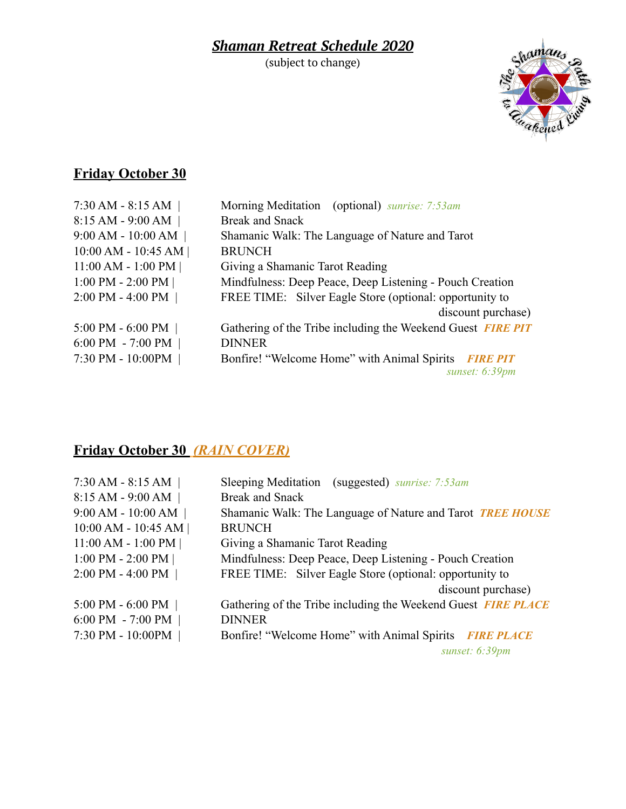## *Shaman Retreat Schedule 2020*

(subject to change)



# **Friday October 30**

| $7:30$ AM - 8:15 AM                 | Morning Meditation (optional) sunrise: 7:53am                  |
|-------------------------------------|----------------------------------------------------------------|
| $8:15 AM - 9:00 AM$                 | <b>Break and Snack</b>                                         |
| $9:00$ AM - $10:00$ AM              | Shamanic Walk: The Language of Nature and Tarot                |
| 10:00 AM - 10:45 AM                 | <b>BRUNCH</b>                                                  |
| $11:00$ AM - $1:00$ PM              | Giving a Shamanic Tarot Reading                                |
| 1:00 PM - 2:00 PM $ $               | Mindfulness: Deep Peace, Deep Listening - Pouch Creation       |
| $2:00$ PM - 4:00 PM                 | FREE TIME: Silver Eagle Store (optional: opportunity to        |
|                                     | discount purchase)                                             |
| 5:00 PM - 6:00 PM $ $               | Gathering of the Tribe including the Weekend Guest FIRE PIT    |
| $6:00 \text{ PM} - 7:00 \text{ PM}$ | <b>DINNER</b>                                                  |
| 7:30 PM - 10:00PM                   | Bonfire! "Welcome Home" with Animal Spirits<br><b>FIRE PIT</b> |
|                                     | sunset: $6:39$ pm                                              |

# **Friday October 30** *(RAIN COVER)*

| $7:30$ AM - 8:15 AM     | Sleeping Meditation (suggested) sunrise: 7:53am               |
|-------------------------|---------------------------------------------------------------|
| 8:15 AM - 9:00 AM       | <b>Break and Snack</b>                                        |
| $9:00$ AM - $10:00$ AM  | Shamanic Walk: The Language of Nature and Tarot TREE HOUSE    |
| $10:00$ AM - $10:45$ AM | <b>BRUNCH</b>                                                 |
| $11:00$ AM - $1:00$ PM  | Giving a Shamanic Tarot Reading                               |
| 1:00 PM - 2:00 PM $ $   | Mindfulness: Deep Peace, Deep Listening - Pouch Creation      |
| 2:00 PM - 4:00 PM       | FREE TIME: Silver Eagle Store (optional: opportunity to       |
|                         | discount purchase)                                            |
| $5:00$ PM - $6:00$ PM   | Gathering of the Tribe including the Weekend Guest FIRE PLACE |
| 6:00 PM - 7:00 PM $ $   | <b>DINNER</b>                                                 |
| 7:30 PM - 10:00PM       | Bonfire! "Welcome Home" with Animal Spirits FIRE PLACE        |
|                         | sunset: $6:39pm$                                              |